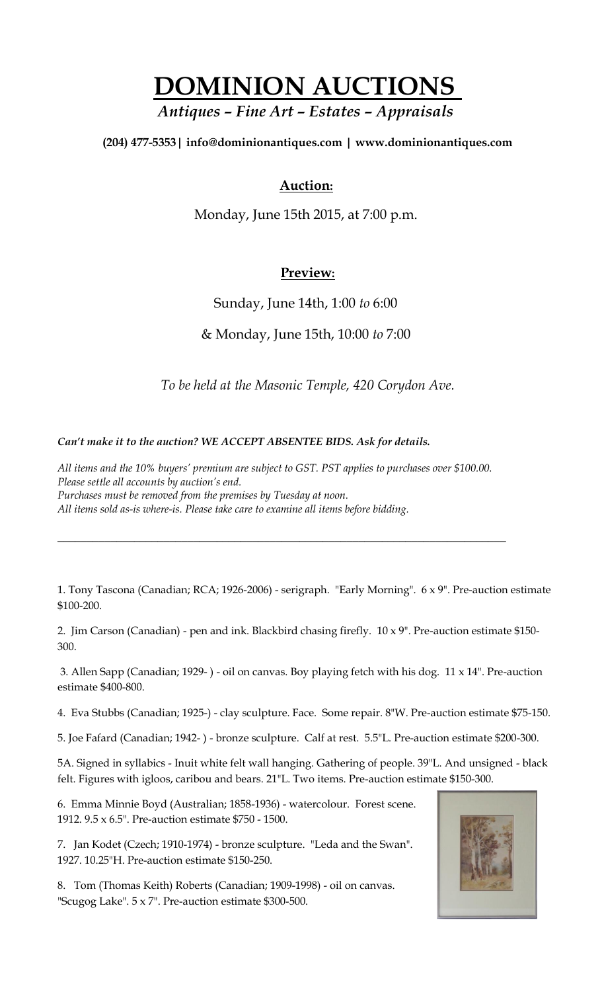## **DOMINION AUCTIONS**

## *Antiques – Fine Art – Estates – Appraisals*

**(204) 477-5353| [info@dominionantiques.com | www.dominionantiques.com](mailto:info@dominionantiques.com%20%7C%20www.dominionantiques.com)**

## **Auction:**

Monday, June 15th 2015, at 7:00 p.m.

## **Preview:**

Sunday, June 14th, 1:00 *to* 6:00

& Monday, June 15th, 10:00 *to* 7:00

*To be held at the Masonic Temple, 420 Corydon Ave.*

*Can't make it to the auction? WE ACCEPT ABSENTEE BIDS. Ask for details.*

*All items and the 10% buyers' premium are subject to GST. PST applies to purchases over \$100.00. Please settle all accounts by auction's end. Purchases must be removed from the premises by Tuesday at noon. All items sold as-is where-is. Please take care to examine all items before bidding.*

*\_\_\_\_\_\_\_\_\_\_\_\_\_\_\_\_\_\_\_\_\_\_\_\_\_\_\_\_\_\_\_\_\_\_\_\_\_\_\_\_\_\_\_\_\_\_\_\_\_\_\_\_\_\_\_\_\_\_\_\_\_\_\_\_\_\_\_\_\_\_\_\_\_\_\_\_*

1. Tony Tascona (Canadian; RCA; 1926-2006) - serigraph. "Early Morning". 6 x 9". Pre-auction estimate \$100-200.

2. Jim Carson (Canadian) - pen and ink. Blackbird chasing firefly. 10 x 9". Pre-auction estimate \$150- 300.

3. Allen Sapp (Canadian; 1929- ) - oil on canvas. Boy playing fetch with his dog. 11 x 14". Pre-auction estimate \$400-800.

4. Eva Stubbs (Canadian; 1925-) - clay sculpture. Face. Some repair. 8"W. Pre-auction estimate \$75-150.

5. Joe Fafard (Canadian; 1942- ) - bronze sculpture. Calf at rest. 5.5"L. Pre-auction estimate \$200-300.

5A. Signed in syllabics - Inuit white felt wall hanging. Gathering of people. 39"L. And unsigned - black felt. Figures with igloos, caribou and bears. 21"L. Two items. Pre-auction estimate \$150-300.

6. Emma Minnie Boyd (Australian; 1858-1936) - watercolour. Forest scene. 1912. 9.5 x 6.5". Pre-auction estimate \$750 - 1500.

7. Jan Kodet (Czech; 1910-1974) - bronze sculpture. "Leda and the Swan". 1927. 10.25"H. Pre-auction estimate \$150-250.

8. Tom (Thomas Keith) Roberts (Canadian; 1909-1998) - oil on canvas. "Scugog Lake". 5 x 7". Pre-auction estimate \$300-500.

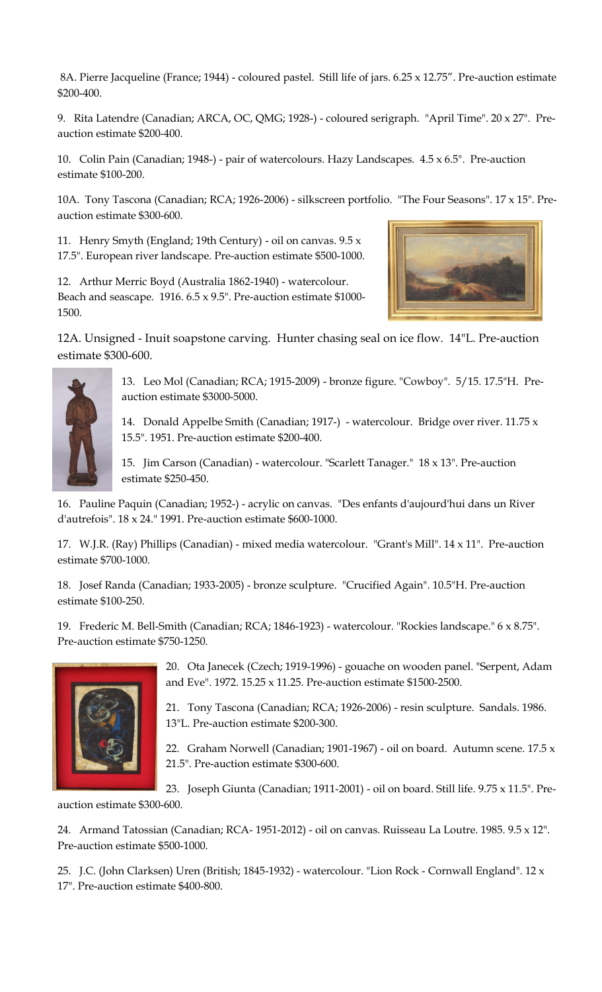8A. Pierre Jacqueline (France; 1944) - coloured pastel. Still life of jars. 6.25 x 12.75". Pre-auction estimate \$200-400.

9. Rita Latendre (Canadian; ARCA, OC, QMG; 1928-) - coloured serigraph. "April Time". 20 x 27". Preauction estimate \$200-400.

10. Colin Pain (Canadian; 1948-) - pair of watercolours. Hazy Landscapes. 4.5 x 6.5". Pre-auction estimate \$100-200.

10A. Tony Tascona (Canadian; RCA; 1926-2006) - silkscreen portfolio. "The Four Seasons". 17 x 15". Preauction estimate \$300-600.

11. Henry Smyth (England; 19th Century) - oil on canvas.  $9.5 x$ 17.5". European river landscape. Pre-auction estimate \$500-1000.

12. Arthur Merric Boyd (Australia 1862-1940) - watercolour. Beach and seascape.  $1916.6.5 \times 9.5$ ". Pre-auction estimate \$1000-1500.



12A. Unsigned - Inuit soapstone carving. Hunter chasing seal on ice flow. 14"L. Pre-auction estimate \$300-600.



13. Leo Mol (Canadian; RCA; 1915-2009) - bronze figure. "Cowboy". 5/15. 17.5"H. Preauction estimate \$3000-5000.

14. Donald Appelbe Smith (Canadian; 1917-) - watercolour. Bridge over river. 11.75 x 15.5". 1951. Pre-auction estimate \$200-400.

15. Jim Carson (Canadian) - watercolour. "Scarlett Tanager." 18 x 13". Pre-auction estimate \$250-450.

16. Pauline Paquin (Canadian; 1952-) - acrylic on canvas. "Des enfants d'aujourd'hui dans un River d'autrefois". 18 x 24." 1991. Pre-auction estimate \$600-1000.

17. W.J.R. (Ray) Phillips (Canadian) - mixed media watercolour. "Grant's Mill". 14 x 11". Pre-auction estimate \$700-1000.

18. Josef Randa (Canadian; 1933-2005) - bronze sculpture. "Crucified Again". 10.5"H. Pre-auction estimate \$100-250.

19. Frederic M. Bell-Smith (Canadian; RCA; 1846-1923) - watercolour. "Rockies landscape." 6 x 8.75". Pre-auction estimate \$750-1250.



20. Ota Janecek (Czech; 1919-1996) - gouache on wooden panel. "Serpent, Adam and Eve". 1972. 15.25 x 11.25. Pre-auction estimate \$1500-2500.

21. Tony Tascona (Canadian; RCA; 1926-2006) - resin sculpture. Sandals. 1986. 13"L. Pre-auction estimate \$200-300.

22. Graham Norwell (Canadian; 1901-1967) - oil on board. Autumn scene. 17.5 x 21.5". Pre-auction estimate \$300-600.

23. Joseph Giunta (Canadian; 1911-2001) - oil on board. Still life. 9.75 x 11.5". Pre-

auction estimate \$300-600.

24. Armand Tatossian (Canadian; RCA- 1951-2012) - oil on canvas. Ruisseau La Loutre. 1985. 9.5 x 12". Pre-auction estimate \$500-1000.

25. J.C. (John Clarksen) Uren (British; 1845-1932) - watercolour. "Lion Rock - Cornwall England". 12 x 17". Pre-auction estimate \$400-800.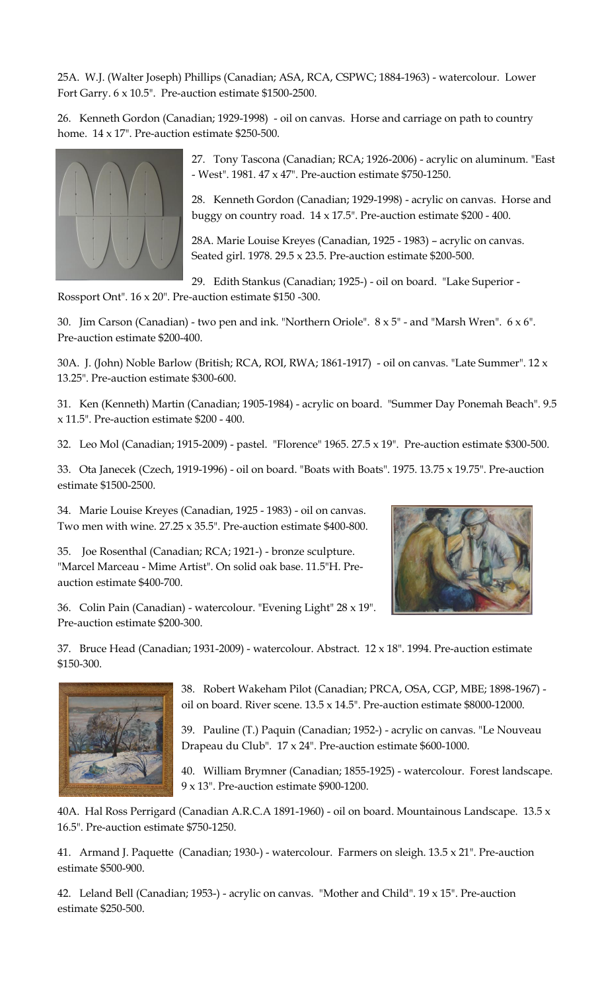25A. W.J. (Walter Joseph) Phillips (Canadian; ASA, RCA, CSPWC; 1884-1963) - watercolour. Lower Fort Garry. 6 x 10.5". Pre-auction estimate \$1500-2500.

26. Kenneth Gordon (Canadian; 1929-1998) - oil on canvas. Horse and carriage on path to country home. 14 x 17". Pre-auction estimate \$250-500.



27. Tony Tascona (Canadian; RCA; 1926-2006) - acrylic on aluminum. "East - West". 1981. 47 x 47". Pre-auction estimate \$750-1250.

28. Kenneth Gordon (Canadian; 1929-1998) - acrylic on canvas. Horse and buggy on country road. 14 x 17.5". Pre-auction estimate \$200 - 400.

28A. Marie Louise Kreyes (Canadian, 1925 - 1983) – acrylic on canvas. Seated girl. 1978. 29.5 x 23.5. Pre-auction estimate \$200-500.

29. Edith Stankus (Canadian; 1925-) - oil on board. "Lake Superior -

Rossport Ont". 16 x 20". Pre-auction estimate \$150 -300.

30. Jim Carson (Canadian) - two pen and ink. "Northern Oriole". 8 x 5" - and "Marsh Wren". 6 x 6". Pre-auction estimate \$200-400.

30A. J. (John) Noble Barlow (British; RCA, ROI, RWA; 1861-1917) - oil on canvas. "Late Summer". 12 x 13.25". Pre-auction estimate \$300-600.

31. Ken (Kenneth) Martin (Canadian; 1905-1984) - acrylic on board. "Summer Day Ponemah Beach". 9.5 x 11.5". Pre-auction estimate \$200 - 400.

32. Leo Mol (Canadian; 1915-2009) - pastel. "Florence" 1965. 27.5 x 19". Pre-auction estimate \$300-500.

33. Ota Janecek (Czech, 1919-1996) - oil on board. "Boats with Boats". 1975. 13.75 x 19.75". Pre-auction estimate \$1500-2500.

34. Marie Louise Kreyes (Canadian, 1925 - 1983) - oil on canvas. Two men with wine. 27.25 x 35.5". Pre-auction estimate \$400-800.

35. Joe Rosenthal (Canadian; RCA; 1921-) - bronze sculpture. "Marcel Marceau - Mime Artist". On solid oak base. 11.5"H. Preauction estimate \$400-700.



36. Colin Pain (Canadian) - watercolour. "Evening Light" 28 x 19". Pre-auction estimate \$200-300.

37. Bruce Head (Canadian; 1931-2009) - watercolour. Abstract. 12 x 18". 1994. Pre-auction estimate \$150-300.



38. Robert Wakeham Pilot (Canadian; PRCA, OSA, CGP, MBE; 1898-1967) oil on board. River scene. 13.5 x 14.5". Pre-auction estimate \$8000-12000.

39. Pauline (T.) Paquin (Canadian; 1952-) - acrylic on canvas. "Le Nouveau Drapeau du Club". 17 x 24". Pre-auction estimate \$600-1000.

40. William Brymner (Canadian; 1855-1925) - watercolour. Forest landscape. 9 x 13". Pre-auction estimate \$900-1200.

40A. Hal Ross Perrigard (Canadian A.R.C.A 1891-1960) - oil on board. Mountainous Landscape. 13.5 x 16.5". Pre-auction estimate \$750-1250.

41. Armand J. Paquette (Canadian; 1930-) - watercolour. Farmers on sleigh. 13.5 x 21". Pre-auction estimate \$500-900.

42. Leland Bell (Canadian; 1953-) - acrylic on canvas. "Mother and Child". 19 x 15". Pre-auction estimate \$250-500.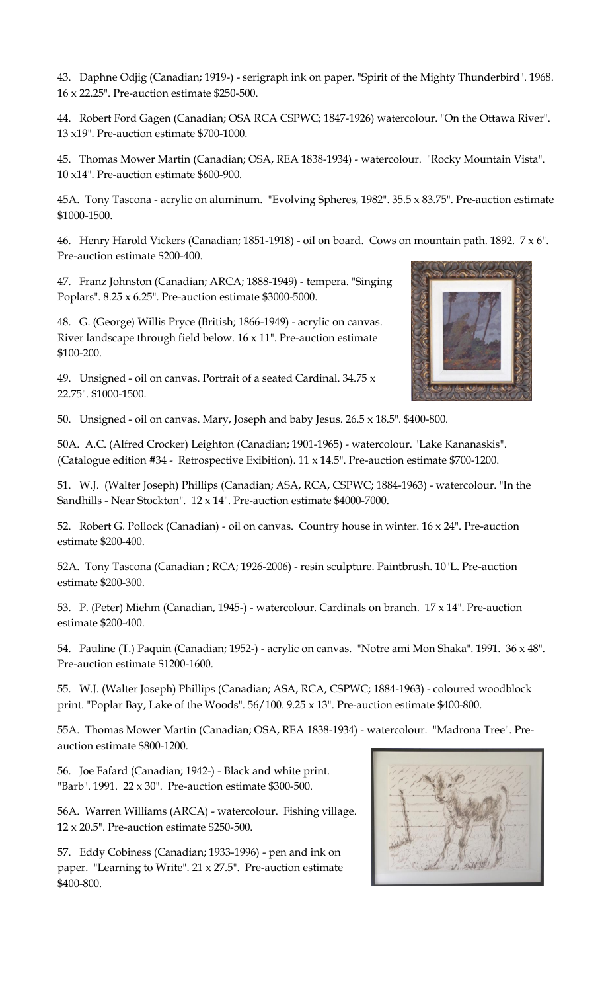43. Daphne Odjig (Canadian; 1919-) - serigraph ink on paper. "Spirit of the Mighty Thunderbird". 1968. 16 x 22.25". Pre-auction estimate \$250-500.

44. Robert Ford Gagen (Canadian; OSA RCA CSPWC; 1847-1926) watercolour. "On the Ottawa River". 13 x19". Pre-auction estimate \$700-1000.

45. Thomas Mower Martin (Canadian; OSA, REA 1838-1934) - watercolour. "Rocky Mountain Vista". 10 x14". Pre-auction estimate \$600-900.

45A. Tony Tascona - acrylic on aluminum. "Evolving Spheres, 1982". 35.5 x 83.75". Pre-auction estimate \$1000-1500.

46. Henry Harold Vickers (Canadian; 1851-1918) - oil on board. Cows on mountain path. 1892. 7 x 6". Pre-auction estimate \$200-400.

47. Franz Johnston (Canadian; ARCA; 1888-1949) - tempera. "Singing Poplars". 8.25 x 6.25". Pre-auction estimate \$3000-5000.

48. G. (George) Willis Pryce (British; 1866-1949) - acrylic on canvas. River landscape through field below. 16 x 11". Pre-auction estimate \$100-200.

49. Unsigned - oil on canvas. Portrait of a seated Cardinal. 34.75 x 22.75". \$1000-1500.

50. Unsigned - oil on canvas. Mary, Joseph and baby Jesus. 26.5 x 18.5". \$400-800.

50A. A.C. (Alfred Crocker) Leighton (Canadian; 1901-1965) - watercolour. "Lake Kananaskis". (Catalogue edition #34 - Retrospective Exibition). 11 x 14.5". Pre-auction estimate \$700-1200.

51. W.J. (Walter Joseph) Phillips (Canadian; ASA, RCA, CSPWC; 1884-1963) - watercolour. "In the Sandhills - Near Stockton". 12 x 14". Pre-auction estimate \$4000-7000.

52. Robert G. Pollock (Canadian) - oil on canvas. Country house in winter. 16 x 24". Pre-auction estimate \$200-400.

52A. Tony Tascona (Canadian ; RCA; 1926-2006) - resin sculpture. Paintbrush. 10"L. Pre-auction estimate \$200-300.

53. P. (Peter) Miehm (Canadian, 1945-) - watercolour. Cardinals on branch. 17 x 14". Pre-auction estimate \$200-400.

54. Pauline (T.) Paquin (Canadian; 1952-) - acrylic on canvas. "Notre ami Mon Shaka". 1991. 36 x 48". Pre-auction estimate \$1200-1600.

55. W.J. (Walter Joseph) Phillips (Canadian; ASA, RCA, CSPWC; 1884-1963) - coloured woodblock print. "Poplar Bay, Lake of the Woods". 56/100. 9.25 x 13". Pre-auction estimate \$400-800.

55A. Thomas Mower Martin (Canadian; OSA, REA 1838-1934) - watercolour. "Madrona Tree". Preauction estimate \$800-1200.

56. Joe Fafard (Canadian; 1942-) - Black and white print. "Barb". 1991. 22 x 30". Pre-auction estimate \$300-500.

56A. Warren Williams (ARCA) - watercolour. Fishing village. 12 x 20.5". Pre-auction estimate \$250-500.

57. Eddy Cobiness (Canadian; 1933-1996) - pen and ink on paper. "Learning to Write". 21 x 27.5". Pre-auction estimate \$400-800.



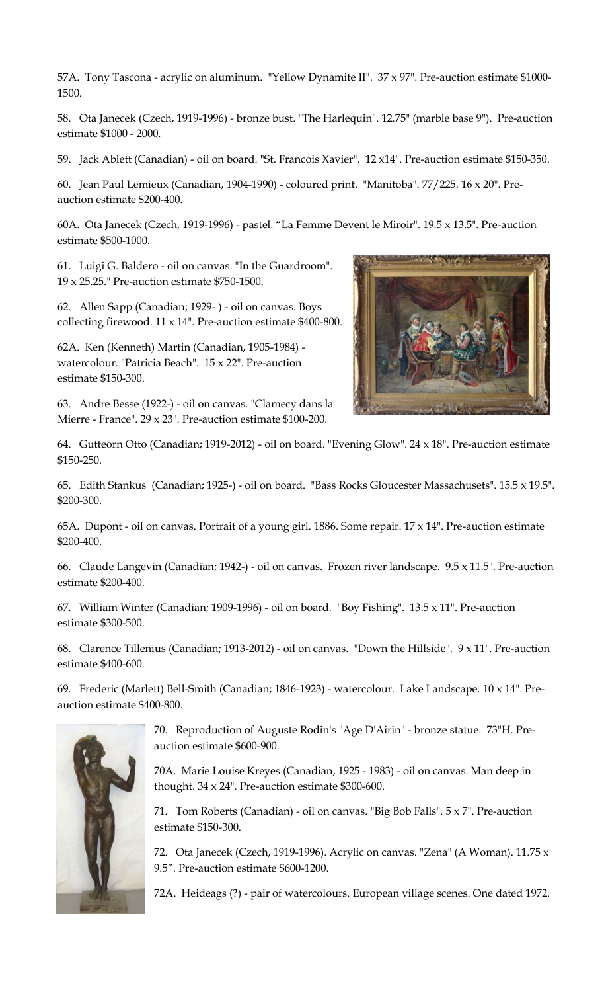57A. Tony Tascona - acrylic on aluminum. "Yellow Dynamite II". 37 x 97". Pre-auction estimate \$1000- 1500.

58. Ota Janecek (Czech, 1919-1996) - bronze bust. "The Harlequin". 12.75" (marble base 9"). Pre-auction estimate \$1000 - 2000.

59. Jack Ablett (Canadian) - oil on board. "St. Francois Xavier". 12 x14". Pre-auction estimate \$150-350.

60. Jean Paul Lemieux (Canadian, 1904-1990) - coloured print. "Manitoba". 77/225. 16 x 20". Preauction estimate \$200-400.

60A. Ota Janecek (Czech, 1919-1996) - pastel. "La Femme Devent le Miroir". 19.5 x 13.5". Pre-auction estimate \$500-1000.

61. Luigi G. Baldero - oil on canvas. "In the Guardroom". 19 x 25.25." Pre-auction estimate \$750-1500.

62. Allen Sapp (Canadian; 1929- ) - oil on canvas. Boys collecting firewood. 11 x 14". Pre-auction estimate \$400-800.

62A. Ken (Kenneth) Martin (Canadian, 1905-1984) watercolour. "Patricia Beach". 15 x 22". Pre-auction estimate \$150-300.

63. Andre Besse (1922-) - oil on canvas. "Clamecy dans la Mierre - France". 29 x 23". Pre-auction estimate \$100-200.



64. Gutteorn Otto (Canadian; 1919-2012) - oil on board. "Evening Glow". 24 x 18". Pre-auction estimate \$150-250.

65. Edith Stankus (Canadian; 1925-) - oil on board. "Bass Rocks Gloucester Massachusets". 15.5 x 19.5". \$200-300.

65A. Dupont - oil on canvas. Portrait of a young girl. 1886. Some repair. 17 x 14". Pre-auction estimate \$200-400.

66. Claude Langevin (Canadian; 1942-) - oil on canvas. Frozen river landscape. 9.5 x 11.5". Pre-auction estimate \$200-400.

67. William Winter (Canadian; 1909-1996) - oil on board. "Boy Fishing". 13.5 x 11". Pre-auction estimate \$300-500.

68. Clarence Tillenius (Canadian; 1913-2012) - oil on canvas. "Down the Hillside". 9 x 11". Pre-auction estimate \$400-600.

69. Frederic (Marlett) Bell-Smith (Canadian; 1846-1923) - watercolour. Lake Landscape. 10 x 14". Preauction estimate \$400-800.



70. Reproduction of Auguste Rodin's "Age D'Airin" - bronze statue. 73"H. Preauction estimate \$600-900.

70A. Marie Louise Kreyes (Canadian, 1925 - 1983) - oil on canvas. Man deep in thought. 34 x 24". Pre-auction estimate \$300-600.

71. Tom Roberts (Canadian) - oil on canvas. "Big Bob Falls". 5 x 7". Pre-auction estimate \$150-300.

72. Ota Janecek (Czech, 1919-1996). Acrylic on canvas. "Zena" (A Woman). 11.75 x 9.5". Pre-auction estimate \$600-1200.

72A. Heideags (?) - pair of watercolours. European village scenes. One dated 1972.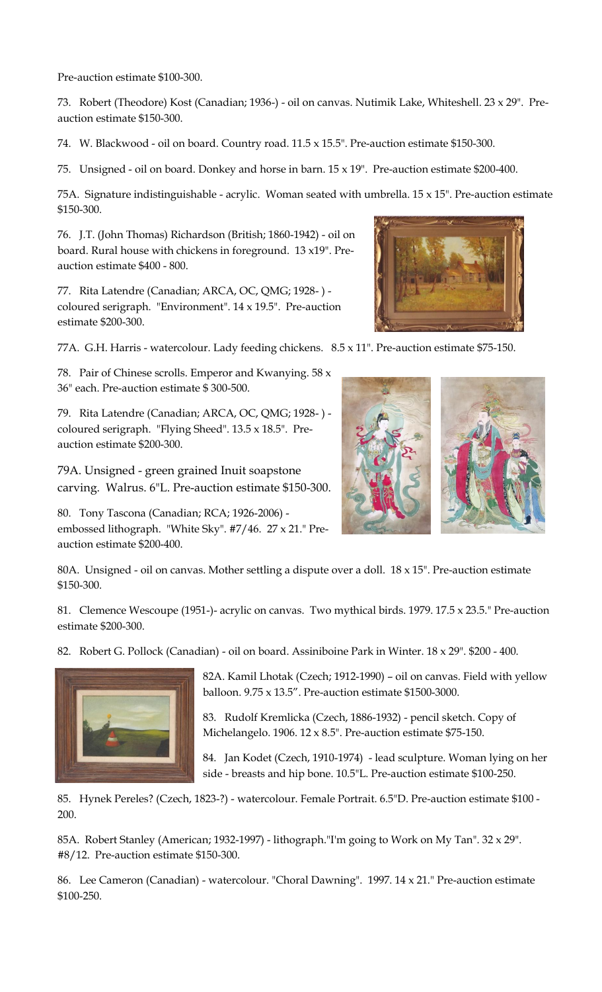Pre-auction estimate \$100-300.

73. Robert (Theodore) Kost (Canadian; 1936-) - oil on canvas. Nutimik Lake, Whiteshell. 23 x 29". Preauction estimate \$150-300.

74. W. Blackwood - oil on board. Country road. 11.5 x 15.5". Pre-auction estimate \$150-300.

75. Unsigned - oil on board. Donkey and horse in barn. 15 x 19". Pre-auction estimate \$200-400.

75A. Signature indistinguishable - acrylic. Woman seated with umbrella. 15 x 15". Pre-auction estimate \$150-300.

76. J.T. (John Thomas) Richardson (British; 1860-1942) - oil on board. Rural house with chickens in foreground. 13 x19". Preauction estimate \$400 - 800.

77. Rita Latendre (Canadian; ARCA, OC, QMG; 1928- ) coloured serigraph. "Environment". 14 x 19.5". Pre-auction estimate \$200-300.

77A. G.H. Harris - watercolour. Lady feeding chickens. 8.5 x 11". Pre-auction estimate \$75-150.

78. Pair of Chinese scrolls. Emperor and Kwanying. 58 x 36" each. Pre-auction estimate \$ 300-500.

79. Rita Latendre (Canadian; ARCA, OC, QMG; 1928- ) coloured serigraph. "Flying Sheed". 13.5 x 18.5". Preauction estimate \$200-300.

79A. Unsigned - green grained Inuit soapstone carving. Walrus. 6"L. Pre-auction estimate \$150-300.

80. Tony Tascona (Canadian; RCA; 1926-2006) embossed lithograph. "White Sky". #7/46. 27 x 21." Preauction estimate \$200-400.



81. Clemence Wescoupe (1951-)- acrylic on canvas. Two mythical birds. 1979. 17.5 x 23.5." Pre-auction estimate \$200-300.

82. Robert G. Pollock (Canadian) - oil on board. Assiniboine Park in Winter. 18 x 29". \$200 - 400.



82A. Kamil Lhotak (Czech; 1912-1990) – oil on canvas. Field with yellow balloon. 9.75 x 13.5". Pre-auction estimate \$1500-3000.

83. Rudolf Kremlicka (Czech, 1886-1932) - pencil sketch. Copy of Michelangelo. 1906. 12 x 8.5". Pre-auction estimate \$75-150.

84. Jan Kodet (Czech, 1910-1974) - lead sculpture. Woman lying on her side - breasts and hip bone. 10.5"L. Pre-auction estimate \$100-250.

85. Hynek Pereles? (Czech, 1823-?) - watercolour. Female Portrait. 6.5"D. Pre-auction estimate \$100 - 200.

85A. Robert Stanley (American; 1932-1997) - lithograph."I'm going to Work on My Tan". 32 x 29". #8/12. Pre-auction estimate \$150-300.

86. Lee Cameron (Canadian) - watercolour. "Choral Dawning". 1997. 14 x 21." Pre-auction estimate \$100-250.



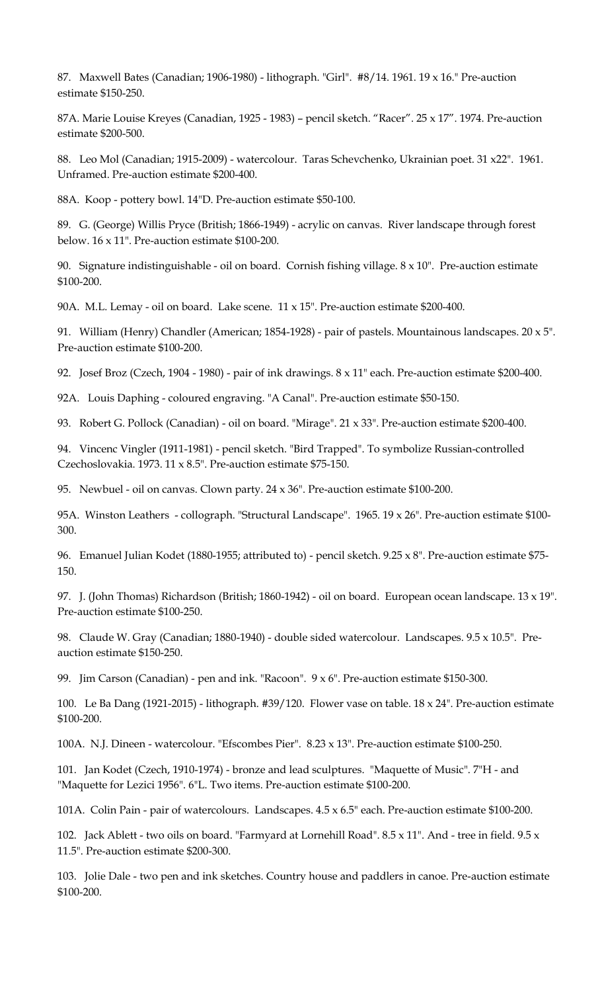87. Maxwell Bates (Canadian; 1906-1980) - lithograph. "Girl". #8/14. 1961. 19 x 16." Pre-auction estimate \$150-250.

87A. Marie Louise Kreyes (Canadian, 1925 - 1983) – pencil sketch. "Racer". 25 x 17". 1974. Pre-auction estimate \$200-500.

88. Leo Mol (Canadian; 1915-2009) - watercolour. Taras Schevchenko, Ukrainian poet. 31 x22". 1961. Unframed. Pre-auction estimate \$200-400.

88A. Koop - pottery bowl. 14"D. Pre-auction estimate \$50-100.

89. G. (George) Willis Pryce (British; 1866-1949) - acrylic on canvas. River landscape through forest below. 16 x 11". Pre-auction estimate \$100-200.

90. Signature indistinguishable - oil on board. Cornish fishing village. 8 x 10". Pre-auction estimate \$100-200.

90A. M.L. Lemay - oil on board. Lake scene. 11 x 15". Pre-auction estimate \$200-400.

91. William (Henry) Chandler (American; 1854-1928) - pair of pastels. Mountainous landscapes. 20 x 5". Pre-auction estimate \$100-200.

92. Josef Broz (Czech, 1904 - 1980) - pair of ink drawings. 8 x 11" each. Pre-auction estimate \$200-400.

92A. Louis Daphing - coloured engraving. "A Canal". Pre-auction estimate \$50-150.

93. Robert G. Pollock (Canadian) - oil on board. "Mirage". 21 x 33". Pre-auction estimate \$200-400.

94. Vincenc Vingler (1911-1981) - pencil sketch. "Bird Trapped". To symbolize Russian-controlled Czechoslovakia. 1973. 11 x 8.5". Pre-auction estimate \$75-150.

95. Newbuel - oil on canvas. Clown party. 24 x 36". Pre-auction estimate \$100-200.

95A. Winston Leathers - collograph. "Structural Landscape". 1965. 19 x 26". Pre-auction estimate \$100- 300.

96. Emanuel Julian Kodet (1880-1955; attributed to) - pencil sketch. 9.25 x 8". Pre-auction estimate \$75- 150.

97. J. (John Thomas) Richardson (British; 1860-1942) - oil on board. European ocean landscape. 13 x 19". Pre-auction estimate \$100-250.

98. Claude W. Gray (Canadian; 1880-1940) - double sided watercolour. Landscapes. 9.5 x 10.5". Preauction estimate \$150-250.

99. Jim Carson (Canadian) - pen and ink. "Racoon". 9 x 6". Pre-auction estimate \$150-300.

100. Le Ba Dang (1921-2015) - lithograph. #39/120. Flower vase on table. 18 x 24". Pre-auction estimate \$100-200.

100A. N.J. Dineen - watercolour. "Efscombes Pier". 8.23 x 13". Pre-auction estimate \$100-250.

101. Jan Kodet (Czech, 1910-1974) - bronze and lead sculptures. "Maquette of Music". 7"H - and "Maquette for Lezici 1956". 6"L. Two items. Pre-auction estimate \$100-200.

101A. Colin Pain - pair of watercolours. Landscapes. 4.5 x 6.5" each. Pre-auction estimate \$100-200.

102. Jack Ablett - two oils on board. "Farmyard at Lornehill Road". 8.5 x 11". And - tree in field. 9.5 x 11.5". Pre-auction estimate \$200-300.

103. Jolie Dale - two pen and ink sketches. Country house and paddlers in canoe. Pre-auction estimate \$100-200.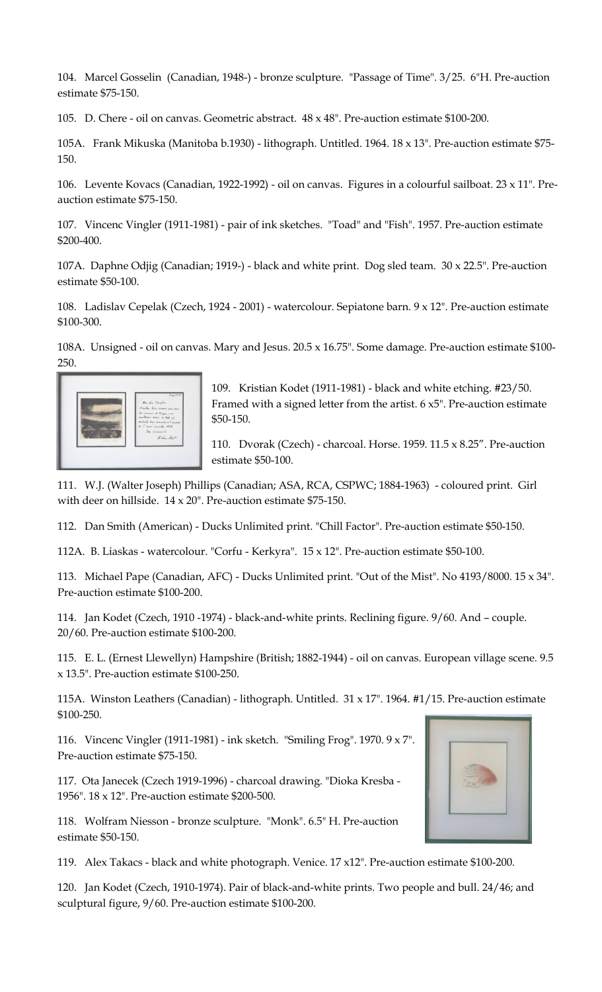104. Marcel Gosselin (Canadian, 1948-) - bronze sculpture. "Passage of Time". 3/25. 6"H. Pre-auction estimate \$75-150.

105. D. Chere - oil on canvas. Geometric abstract. 48 x 48". Pre-auction estimate \$100-200.

105A. Frank Mikuska (Manitoba b.1930) - lithograph. Untitled. 1964. 18 x 13". Pre-auction estimate \$75- 150.

106. Levente Kovacs (Canadian, 1922-1992) - oil on canvas. Figures in a colourful sailboat. 23 x 11". Preauction estimate \$75-150.

107. Vincenc Vingler (1911-1981) - pair of ink sketches. "Toad" and "Fish". 1957. Pre-auction estimate \$200-400.

107A. Daphne Odjig (Canadian; 1919-) - black and white print. Dog sled team. 30 x 22.5". Pre-auction estimate \$50-100.

108. Ladislav Cepelak (Czech, 1924 - 2001) - watercolour. Sepiatone barn. 9 x 12". Pre-auction estimate \$100-300.

108A. Unsigned - oil on canvas. Mary and Jesus. 20.5 x 16.75". Some damage. Pre-auction estimate \$100- 250.



109. Kristian Kodet (1911-1981) - black and white etching. #23/50. Framed with a signed letter from the artist. 6 x5". Pre-auction estimate \$50-150.

110. Dvorak (Czech) - charcoal. Horse. 1959. 11.5 x 8.25". Pre-auction estimate \$50-100.

111. W.J. (Walter Joseph) Phillips (Canadian; ASA, RCA, CSPWC; 1884-1963) - coloured print. Girl with deer on hillside. 14 x 20". Pre-auction estimate \$75-150.

112. Dan Smith (American) - Ducks Unlimited print. "Chill Factor". Pre-auction estimate \$50-150.

112A. B. Liaskas - watercolour. "Corfu - Kerkyra". 15 x 12". Pre-auction estimate \$50-100.

113. Michael Pape (Canadian, AFC) - Ducks Unlimited print. "Out of the Mist". No 4193/8000. 15 x 34". Pre-auction estimate \$100-200.

114. Jan Kodet (Czech, 1910 -1974) - black-and-white prints. Reclining figure. 9/60. And – couple. 20/60. Pre-auction estimate \$100-200.

115. E. L. (Ernest Llewellyn) Hampshire (British; 1882-1944) - oil on canvas. European village scene. 9.5 x 13.5". Pre-auction estimate \$100-250.

115A. Winston Leathers (Canadian) - lithograph. Untitled. 31 x 17". 1964. #1/15. Pre-auction estimate \$100-250.

116. Vincenc Vingler (1911-1981) - ink sketch. "Smiling Frog". 1970. 9 x 7". Pre-auction estimate \$75-150.

117. Ota Janecek (Czech 1919-1996) - charcoal drawing. "Dioka Kresba - 1956". 18 x 12". Pre-auction estimate \$200-500.

118. Wolfram Niesson - bronze sculpture. "Monk". 6.5" H. Pre-auction estimate \$50-150.

119. Alex Takacs - black and white photograph. Venice. 17 x12". Pre-auction estimate \$100-200.

120. Jan Kodet (Czech, 1910-1974). Pair of black-and-white prints. Two people and bull. 24/46; and sculptural figure, 9/60. Pre-auction estimate \$100-200.

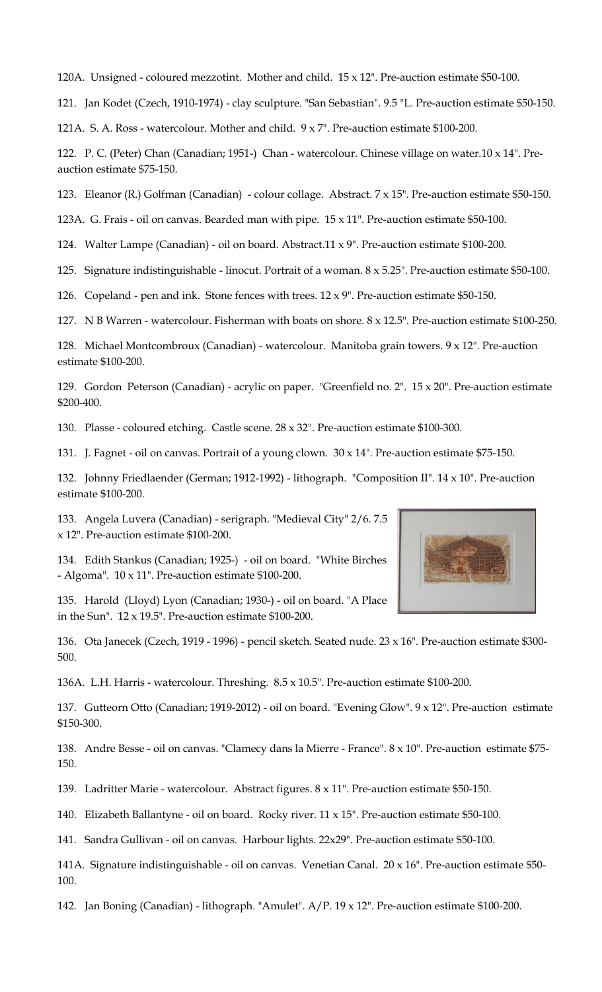120A. Unsigned - coloured mezzotint. Mother and child. 15 x 12". Pre-auction estimate \$50-100.

121. Jan Kodet (Czech, 1910-1974) - clay sculpture. "San Sebastian". 9.5 "L. Pre-auction estimate \$50-150.

121A. S. A. Ross - watercolour. Mother and child. 9 x 7". Pre-auction estimate \$100-200.

122. P. C. (Peter) Chan (Canadian; 1951-) Chan - watercolour. Chinese village on water.10 x 14". Preauction estimate \$75-150.

123. Eleanor (R.) Golfman (Canadian) - colour collage. Abstract. 7 x 15". Pre-auction estimate \$50-150.

123A. G. Frais - oil on canvas. Bearded man with pipe. 15 x 11". Pre-auction estimate \$50-100.

124. Walter Lampe (Canadian) - oil on board. Abstract.11 x 9". Pre-auction estimate \$100-200.

125. Signature indistinguishable - linocut. Portrait of a woman. 8 x 5.25". Pre-auction estimate \$50-100.

126. Copeland - pen and ink. Stone fences with trees.  $12 \times 9$ ". Pre-auction estimate \$50-150.

127. N B Warren - watercolour. Fisherman with boats on shore. 8 x 12.5". Pre-auction estimate \$100-250.

128. Michael Montcombroux (Canadian) - watercolour. Manitoba grain towers. 9 x 12". Pre-auction estimate \$100-200.

129. Gordon Peterson (Canadian) - acrylic on paper. "Greenfield no. 2". 15 x 20". Pre-auction estimate \$200-400.

130. Plasse - coloured etching. Castle scene. 28 x 32". Pre-auction estimate \$100-300.

131. J. Fagnet - oil on canvas. Portrait of a young clown. 30 x 14". Pre-auction estimate \$75-150.

132. Johnny Friedlaender (German; 1912-1992) - lithograph. "Composition II". 14 x 10". Pre-auction estimate \$100-200.

133. Angela Luvera (Canadian) - serigraph. "Medieval City" 2/6. 7.5 x 12". Pre-auction estimate \$100-200.

134. Edith Stankus (Canadian; 1925-) - oil on board. "White Birches - Algoma". 10 x 11". Pre-auction estimate \$100-200.

135. Harold (Lloyd) Lyon (Canadian; 1930-) - oil on board. "A Place in the Sun". 12 x 19.5". Pre-auction estimate \$100-200.

136. Ota Janecek (Czech, 1919 - 1996) - pencil sketch. Seated nude. 23 x 16". Pre-auction estimate \$300- 500.

136A. L.H. Harris - watercolour. Threshing. 8.5 x 10.5". Pre-auction estimate \$100-200.

137. Gutteorn Otto (Canadian; 1919-2012) - oil on board. "Evening Glow". 9 x 12". Pre-auction estimate \$150-300.

138. Andre Besse - oil on canvas. "Clamecy dans la Mierre - France". 8 x 10". Pre-auction estimate \$75- 150.

139. Ladritter Marie - watercolour. Abstract figures. 8 x 11". Pre-auction estimate \$50-150.

140. Elizabeth Ballantyne - oil on board. Rocky river. 11 x 15". Pre-auction estimate \$50-100.

141. Sandra Gullivan - oil on canvas. Harbour lights. 22x29". Pre-auction estimate \$50-100.

141A. Signature indistinguishable - oil on canvas. Venetian Canal. 20 x 16". Pre-auction estimate \$50- 100.

142. Jan Boning (Canadian) - lithograph. "Amulet". A/P. 19 x 12". Pre-auction estimate \$100-200.

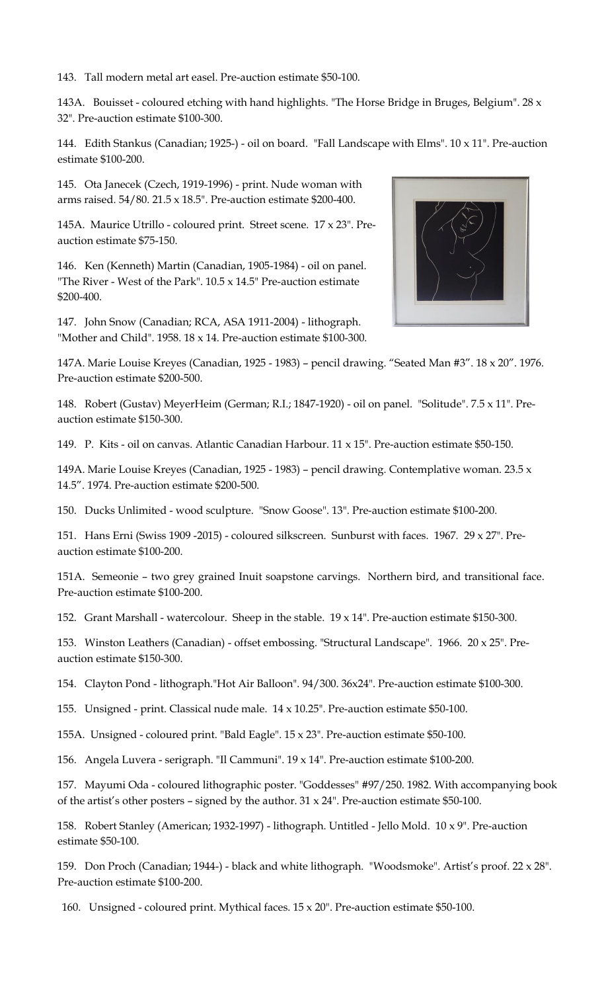143. Tall modern metal art easel. Pre-auction estimate \$50-100.

143A. Bouisset - coloured etching with hand highlights. "The Horse Bridge in Bruges, Belgium". 28 x 32". Pre-auction estimate \$100-300.

144. Edith Stankus (Canadian; 1925-) - oil on board. "Fall Landscape with Elms". 10 x 11". Pre-auction estimate \$100-200.

145. Ota Janecek (Czech, 1919-1996) - print. Nude woman with arms raised. 54/80. 21.5 x 18.5". Pre-auction estimate \$200-400.

145A. Maurice Utrillo - coloured print. Street scene. 17 x 23". Preauction estimate \$75-150.

146. Ken (Kenneth) Martin (Canadian, 1905-1984) - oil on panel. "The River - West of the Park".  $10.5 \times 14.5$ " Pre-auction estimate \$200-400.

147. John Snow (Canadian; RCA, ASA 1911-2004) - lithograph. "Mother and Child". 1958. 18 x 14. Pre-auction estimate \$100-300.



148. Robert (Gustav) MeyerHeim (German; R.I.; 1847-1920) - oil on panel. "Solitude". 7.5 x 11". Preauction estimate \$150-300.

149. P. Kits - oil on canvas. Atlantic Canadian Harbour. 11 x 15". Pre-auction estimate \$50-150.

149A. Marie Louise Kreyes (Canadian, 1925 - 1983) – pencil drawing. Contemplative woman. 23.5 x 14.5". 1974. Pre-auction estimate \$200-500.

150. Ducks Unlimited - wood sculpture. "Snow Goose". 13". Pre-auction estimate \$100-200.

151. Hans Erni (Swiss 1909 -2015) - coloured silkscreen. Sunburst with faces. 1967. 29 x 27". Preauction estimate \$100-200.

151A. Semeonie – two grey grained Inuit soapstone carvings. Northern bird, and transitional face. Pre-auction estimate \$100-200.

152. Grant Marshall - watercolour. Sheep in the stable. 19 x 14". Pre-auction estimate \$150-300.

153. Winston Leathers (Canadian) - offset embossing. "Structural Landscape". 1966. 20 x 25". Preauction estimate \$150-300.

154. Clayton Pond - lithograph."Hot Air Balloon". 94/300. 36x24". Pre-auction estimate \$100-300.

155. Unsigned - print. Classical nude male. 14 x 10.25". Pre-auction estimate \$50-100.

155A. Unsigned - coloured print. "Bald Eagle". 15 x 23". Pre-auction estimate \$50-100.

156. Angela Luvera - serigraph. "Il Cammuni". 19 x 14". Pre-auction estimate \$100-200.

157. Mayumi Oda - coloured lithographic poster. "Goddesses" #97/250. 1982. With accompanying book of the artist's other posters – signed by the author.  $31 \times 24$ ". Pre-auction estimate \$50-100.

158. Robert Stanley (American; 1932-1997) - lithograph. Untitled - Jello Mold. 10 x 9". Pre-auction estimate \$50-100.

159. Don Proch (Canadian; 1944-) - black and white lithograph. "Woodsmoke". Artist's proof. 22 x 28". Pre-auction estimate \$100-200.

160. Unsigned - coloured print. Mythical faces. 15 x 20". Pre-auction estimate \$50-100.